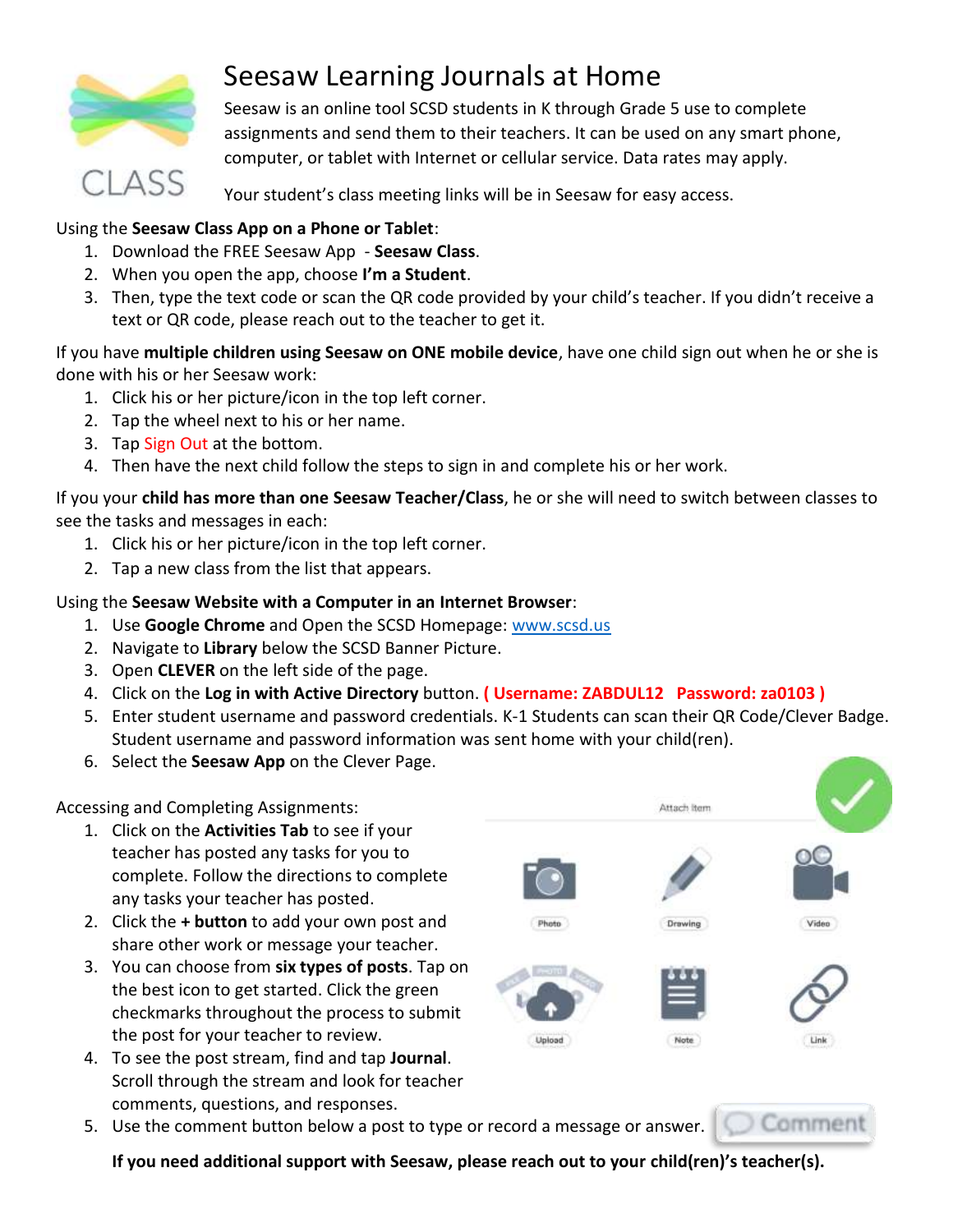

## Seesaw Learning Journals at Home

Seesaw is an online tool SCSD students in K through Grade 5 use to complete assignments and send them to their teachers. It can be used on any smart phone, computer, or tablet with Internet or cellular service. Data rates may apply.

Your student's class meeting links will be in Seesaw for easy access.

## Using the **Seesaw Class App on a Phone or Tablet**:

- 1. Download the FREE Seesaw App **Seesaw Class**.
- 2. When you open the app, choose **I'm a Student**.
- 3. Then, type the text code or scan the QR code provided by your child's teacher. If you didn't receive a text or QR code, please reach out to the teacher to get it.

If you have **multiple children using Seesaw on ONE mobile device**, have one child sign out when he or she is done with his or her Seesaw work:

- 1. Click his or her picture/icon in the top left corner.
- 2. Tap the wheel next to his or her name.
- 3. Tap Sign Out at the bottom.
- 4. Then have the next child follow the steps to sign in and complete his or her work.

If you your **child has more than one Seesaw Teacher/Class**, he or she will need to switch between classes to see the tasks and messages in each:

- 1. Click his or her picture/icon in the top left corner.
- 2. Tap a new class from the list that appears.

## Using the **Seesaw Website with a Computer in an Internet Browser**:

- 1. Use **Google Chrome** and Open the SCSD Homepage: [www.scsd.us](http://www.scsd.us/)
- 2. Navigate to **Library** below the SCSD Banner Picture.
- 3. Open **CLEVER** on the left side of the page.
- 4. Click on the **Log in with Active Directory** button. **( Username: ZABDUL12 Password: za0103 )**
- 5. Enter student username and password credentials. K-1 Students can scan their QR Code/Clever Badge. Student username and password information was sent home with your child(ren).
- 6. Select the **Seesaw App** on the Clever Page.

Accessing and Completing Assignments:

- 1. Click on the **Activities Tab** to see if your teacher has posted any tasks for you to complete. Follow the directions to complete any tasks your teacher has posted.
- 2. Click the **+ button** to add your own post and share other work or message your teacher.
- 3. You can choose from **six types of posts**. Tap on the best icon to get started. Click the green checkmarks throughout the process to submit the post for your teacher to review.
- 4. To see the post stream, find and tap **Journal**. Scroll through the stream and look for teacher comments, questions, and responses.
- 5. Use the comment button below a post to type or record a message or answer.





commer